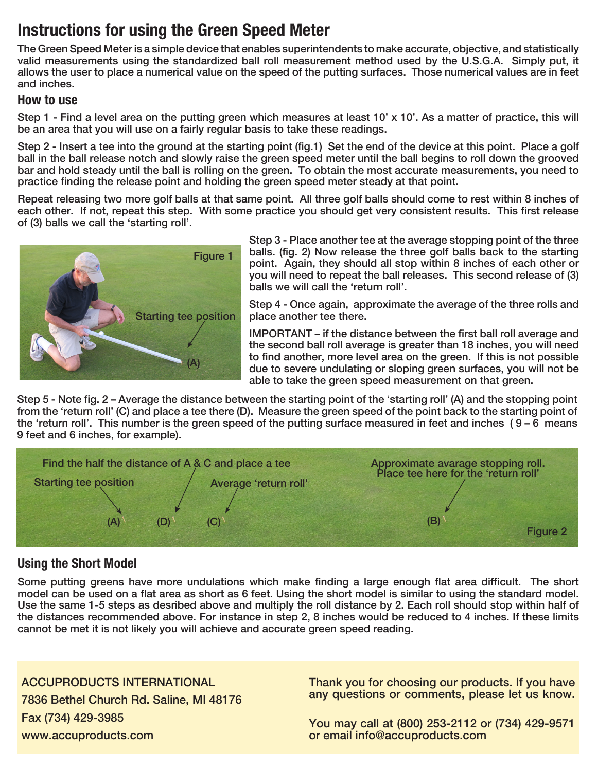# Instructions for using the Green Speed Meter

The Green Speed Meter is a simple device that enables superintendents to make accurate, objective, and statistically valid measurements using the standardized ball roll measurement method used by the U.S.G.A. Simply put, it allows the user to place a numerical value on the speed of the putting surfaces. Those numerical values are in feet and inches.

#### How to use

Step 1 - Find a level area on the putting green which measures at least 10' x 10'. As a matter of practice, this will be an area that you will use on a fairly regular basis to take these readings.

Step 2 - Insert a tee into the ground at the starting point (fig.1) Set the end of the device at this point. Place a golf ball in the ball release notch and slowly raise the green speed meter until the ball begins to roll down the grooved bar and hold steady until the ball is rolling on the green. To obtain the most accurate measurements, you need to practice finding the release point and holding the green speed meter steady at that point.

Repeat releasing two more golf balls at that same point. All three golf balls should come to rest within 8 inches of each other. If not, repeat this step. With some practice you should get very consistent results. This first release of (3) balls we call the 'starting roll'.



Step 3 - Place another tee at the average stopping point of the three balls. (fig. 2) Now release the three golf balls back to the starting point. Again, they should all stop within 8 inches of each other or you will need to repeat the ball releases. This second release of (3) balls we will call the 'return roll'.

Step 4 - Once again, approximate the average of the three rolls and place another tee there.

IMPORTANT – if the distance between the first ball roll average and the second ball roll average is greater than 18 inches, you will need to find another, more level area on the green. If this is not possible due to severe undulating or sloping green surfaces, you will not be able to take the green speed measurement on that green.

Step 5 - Note fig. 2 – Average the distance between the starting point of the 'starting roll' (A) and the stopping point from the 'return roll' (C) and place a tee there (D). Measure the green speed of the point back to the starting point of the 'return roll'. This number is the green speed of the putting surface measured in feet and inches ( 9 – 6 means 9 feet and 6 inches, for example).



## Using the Short Model

Some putting greens have more undulations which make finding a large enough flat area difficult. The short model can be used on a flat area as short as 6 feet. Using the short model is similar to using the standard model. Use the same 1-5 steps as desribed above and multiply the roll distance by 2. Each roll should stop within half of the distances recommended above. For instance in step 2, 8 inches would be reduced to 4 inches. If these limits cannot be met it is not likely you will achieve and accurate green speed reading.

ACCUPRODUCTS INTERNATIONAL 7836 Bethel Church Rd. Saline, MI 48176 Fax (734) 429-3985 www.accuproducts.com

Thank you for choosing our products. If you have any questions or comments, please let us know.

You may call at (800) 253-2112 or (734) 429-9571 or email info@accuproducts.com